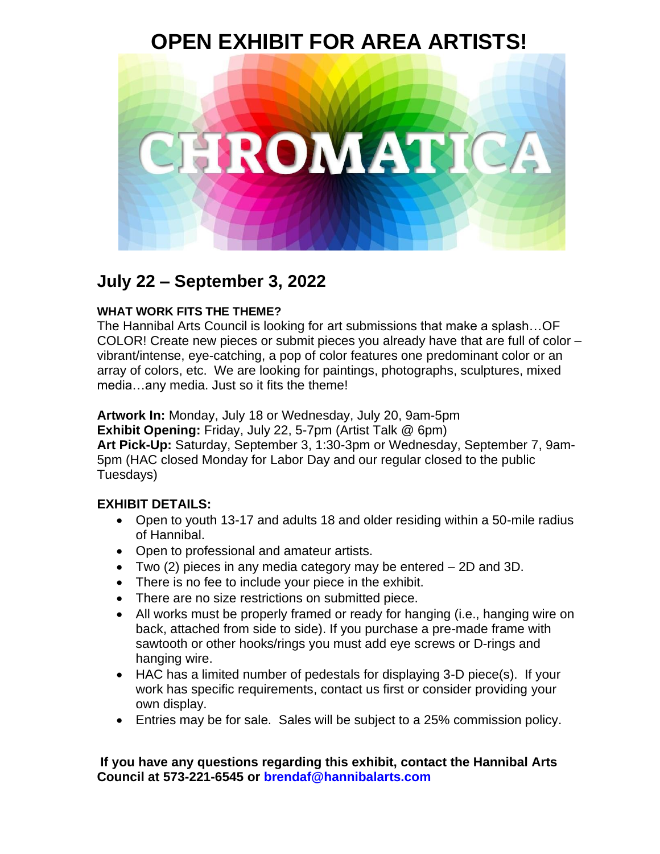### **OPEN EXHIBIT FOR AREA ARTISTS!**



### **July 22 – September 3, 2022**

#### **WHAT WORK FITS THE THEME?**

The Hannibal Arts Council is looking for art submissions that make a splash…OF COLOR! Create new pieces or submit pieces you already have that are full of color – vibrant/intense, eye-catching, a pop of color features one predominant color or an array of colors, etc. We are looking for paintings, photographs, sculptures, mixed media…any media. Just so it fits the theme!

**Artwork In:** Monday, July 18 or Wednesday, July 20, 9am-5pm

**Exhibit Opening:** Friday, July 22, 5-7pm (Artist Talk @ 6pm)

**Art Pick-Up:** Saturday, September 3, 1:30-3pm or Wednesday, September 7, 9am-5pm (HAC closed Monday for Labor Day and our regular closed to the public Tuesdays)

#### **EXHIBIT DETAILS:**

- Open to youth 13-17 and adults 18 and older residing within a 50-mile radius of Hannibal.
- Open to professional and amateur artists.
- Two (2) pieces in any media category may be entered 2D and 3D.
- There is no fee to include your piece in the exhibit.
- There are no size restrictions on submitted piece.
- All works must be properly framed or ready for hanging (i.e., hanging wire on back, attached from side to side). If you purchase a pre-made frame with sawtooth or other hooks/rings you must add eye screws or D-rings and hanging wire.
- HAC has a limited number of pedestals for displaying 3-D piece(s). If your work has specific requirements, contact us first or consider providing your own display.
- Entries may be for sale. Sales will be subject to a 25% commission policy.

#### **If you have any questions regarding this exhibit, contact the Hannibal Arts Council at 573-221-6545 or brendaf@hannibalarts.com**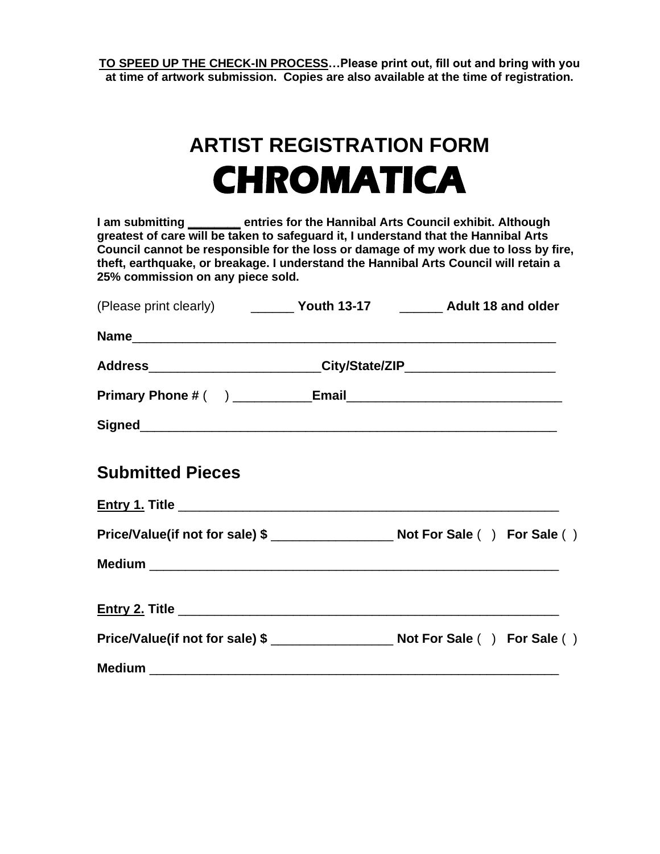**TO SPEED UP THE CHECK-IN PROCESS…Please print out, fill out and bring with you at time of artwork submission. Copies are also available at the time of registration.**

## **ARTIST REGISTRATION FORM CHROMATICA**

| I am submitting ________ entries for the Hannibal Arts Council exhibit. Although<br>greatest of care will be taken to safeguard it, I understand that the Hannibal Arts<br>theft, earthquake, or breakage. I understand the Hannibal Arts Council will retain a<br>25% commission on any piece sold. | Council cannot be responsible for the loss or damage of my work due to loss by fire, |
|------------------------------------------------------------------------------------------------------------------------------------------------------------------------------------------------------------------------------------------------------------------------------------------------------|--------------------------------------------------------------------------------------|
| (Please print clearly) ___________ Youth 13-17 __________ Adult 18 and older                                                                                                                                                                                                                         |                                                                                      |
|                                                                                                                                                                                                                                                                                                      |                                                                                      |
| Address________________________City/State/ZIP______________________                                                                                                                                                                                                                                  |                                                                                      |
|                                                                                                                                                                                                                                                                                                      |                                                                                      |
|                                                                                                                                                                                                                                                                                                      |                                                                                      |
| <b>Submitted Pieces</b>                                                                                                                                                                                                                                                                              |                                                                                      |
|                                                                                                                                                                                                                                                                                                      |                                                                                      |
|                                                                                                                                                                                                                                                                                                      |                                                                                      |
|                                                                                                                                                                                                                                                                                                      |                                                                                      |
|                                                                                                                                                                                                                                                                                                      |                                                                                      |